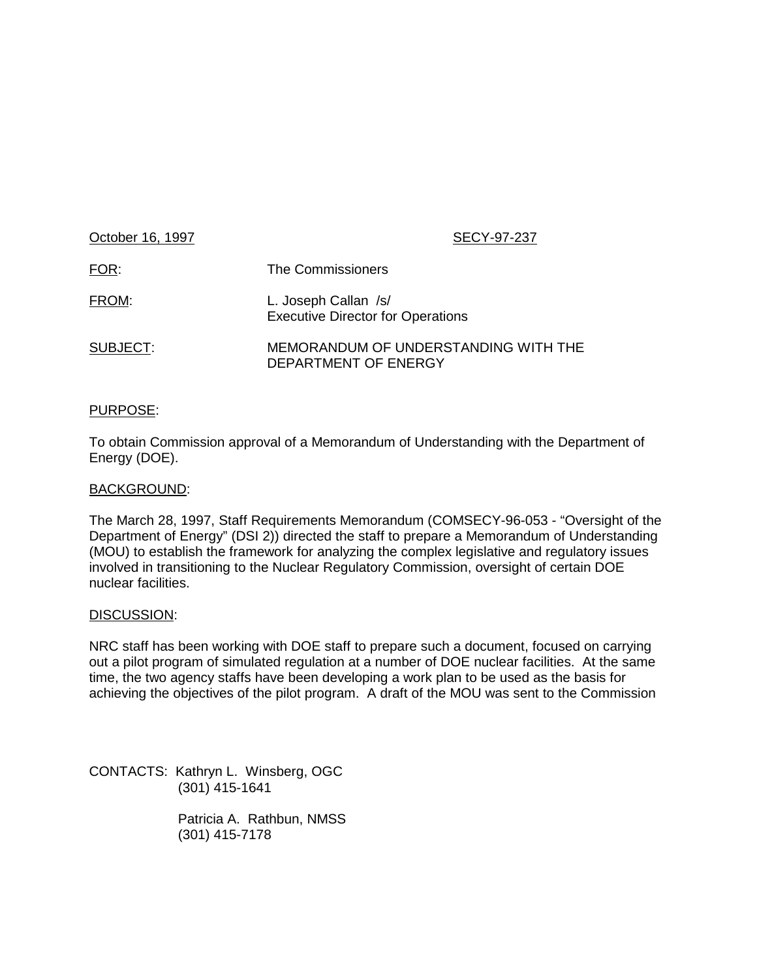| October 16, 1997 | SECY-97-237                                                      |
|------------------|------------------------------------------------------------------|
| FOR:             | The Commissioners                                                |
| FROM:            | L. Joseph Callan /s/<br><b>Executive Director for Operations</b> |
| SUBJECT:         | MEMORANDUM OF UNDERSTANDING WITH THE<br>DEPARTMENT OF ENERGY     |

# PURPOSE:

To obtain Commission approval of a Memorandum of Understanding with the Department of Energy (DOE).

## BACKGROUND:

The March 28, 1997, Staff Requirements Memorandum (COMSECY-96-053 - "Oversight of the Department of Energy" (DSI 2)) directed the staff to prepare a Memorandum of Understanding (MOU) to establish the framework for analyzing the complex legislative and regulatory issues involved in transitioning to the Nuclear Regulatory Commission, oversight of certain DOE nuclear facilities.

## DISCUSSION:

NRC staff has been working with DOE staff to prepare such a document, focused on carrying out a pilot program of simulated regulation at a number of DOE nuclear facilities. At the same time, the two agency staffs have been developing a work plan to be used as the basis for achieving the objectives of the pilot program. A draft of the MOU was sent to the Commission

CONTACTS: Kathryn L. Winsberg, OGC (301) 415-1641

> Patricia A. Rathbun, NMSS (301) 415-7178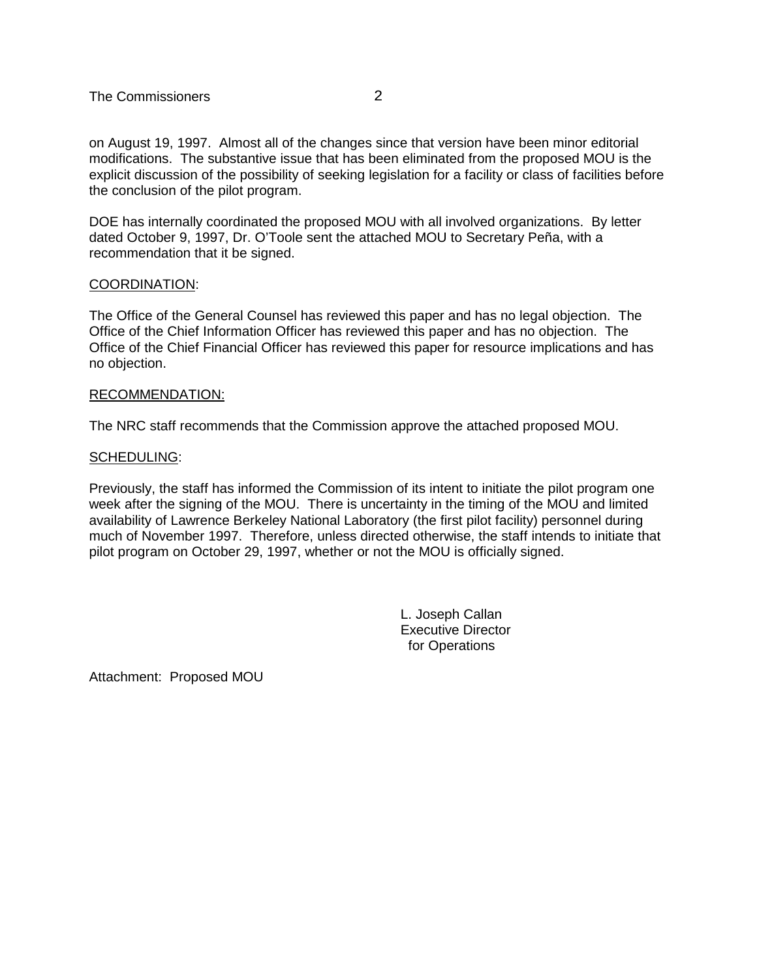The Commissioners 2

on August 19, 1997. Almost all of the changes since that version have been minor editorial modifications. The substantive issue that has been eliminated from the proposed MOU is the explicit discussion of the possibility of seeking legislation for a facility or class of facilities before the conclusion of the pilot program.

DOE has internally coordinated the proposed MOU with all involved organizations. By letter dated October 9, 1997, Dr. O'Toole sent the attached MOU to Secretary Peña, with a recommendation that it be signed.

# COORDINATION:

The Office of the General Counsel has reviewed this paper and has no legal objection. The Office of the Chief Information Officer has reviewed this paper and has no objection. The Office of the Chief Financial Officer has reviewed this paper for resource implications and has no objection.

## RECOMMENDATION:

The NRC staff recommends that the Commission approve the attached proposed MOU.

## SCHEDULING:

Previously, the staff has informed the Commission of its intent to initiate the pilot program one week after the signing of the MOU. There is uncertainty in the timing of the MOU and limited availability of Lawrence Berkeley National Laboratory (the first pilot facility) personnel during much of November 1997. Therefore, unless directed otherwise, the staff intends to initiate that pilot program on October 29, 1997, whether or not the MOU is officially signed.

> L. Joseph Callan Executive Director for Operations

Attachment: Proposed MOU